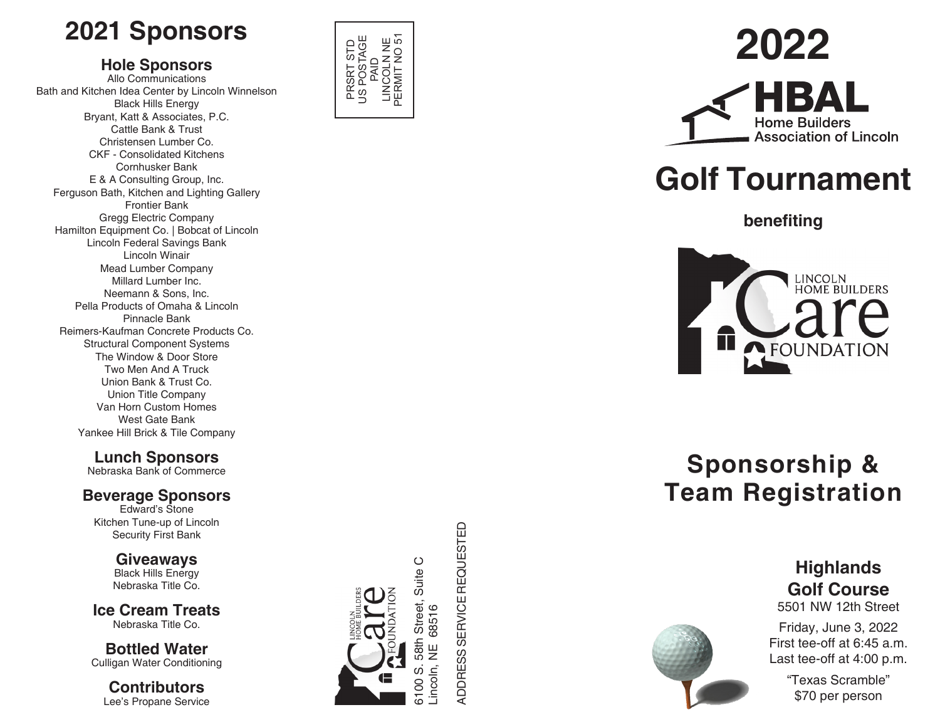# **2021 Sponsors**

### **Hole Sponsors**

Allo Communications Bath and Kitchen Idea Center by Lincoln Winnelson Black Hills Energy Bryant, Katt & Associates, P.C. Cattle Bank & Trust Christensen Lumber Co. CKF - Consolidated Kitchens Cornhusker Bank E & A Consulting Group, Inc. Ferguson Bath, Kitchen and Lighting Gallery Frontier Bank Gregg Electric Company Hamilton Equipment Co. | Bobcat of Lincoln Lincoln Federal Savings Bank Lincoln Winair Mead Lumber Company Millard Lumber Inc. Neemann & Sons, Inc. Pella Products of Omaha & Lincoln Pinnacle Bank Reimers-Kaufman Concrete Products Co. Structural Component Systems The Window & Door Store Two Men And A Truck Union Bank & Trust Co. Union Title Company Van Horn Custom Homes West Gate Bank Yankee Hill Brick & Tile Company

## **Lunch Sponsors**

Nebraska Bank of Commerce

### **Beverage Sponsors**

Edward's Stone Kitchen Tune-up of Lincoln Security First Bank

> **Giveaways Black Hills Energy** Nebraska Title Co.

**Ice Cream Treats** Nebraska Title Co.

**Bottled Water** Culligan Water Conditioning

**Contributors** Lee's Propane Service



6100 S. 58th Street, Suite C

58th ဟ Jooni 8

Street, 68516

Suite C

Lincoln, NE 68516

ADDRESS SERVICE REQUESTED

ADDRESS SERVICE REQUESTED

# **2022**



# **Golf Tournament**

**benefiting**



# **Sponsorship & Team Registration**



# **Highlands Golf Course**

5501 NW 12th Street

Friday, June 3, 2022 First tee-off at 6:45 a.m. Last tee-off at 4:00 p.m.

> "Texas Scramble" \$70 per person